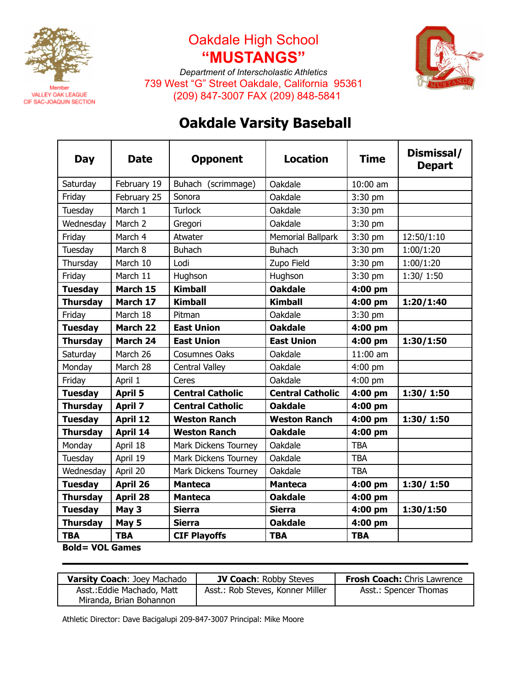

# Oakdale High School **"MUSTANGS"**



*Department of Interscholastic Athletics* 739 West "G" Street Oakdale, California 95361 [\(209\) 847-3007](https://www.google.com/search?q=oakdale+high+school&rlz=1C1GCEV_enUS972&oq=oakdale+high+&aqs=chrome.0.0i355i433i512j46i175i199i433i512j0i512l8.1993j0j7&sourceid=chrome&ie=UTF-8#) FAX (209) 848-5841

# **Oakdale Varsity Baseball**

| Day             | <b>Date</b>     | <b>Opponent</b>             | <b>Location</b>          | <b>Time</b> | Dismissal/<br><b>Depart</b> |
|-----------------|-----------------|-----------------------------|--------------------------|-------------|-----------------------------|
| Saturday        | February 19     | Buhach<br>(scrimmage)       | Oakdale                  | $10:00$ am  |                             |
| Friday          | February 25     | Sonora                      | Oakdale                  | 3:30 pm     |                             |
| Tuesday         | March 1         | <b>Turlock</b>              | Oakdale                  | 3:30 pm     |                             |
| Wednesday       | March 2         | Gregori                     | Oakdale                  | 3:30 pm     |                             |
| Friday          | March 4         | Atwater                     | <b>Memorial Ballpark</b> | 3:30 pm     | 12:50/1:10                  |
| Tuesday         | March 8         | <b>Buhach</b>               | <b>Buhach</b>            | 3:30 pm     | 1:00/1:20                   |
| Thursday        | March 10        | Lodi                        | Zupo Field               | 3:30 pm     | 1:00/1:20                   |
| Friday          | March 11        | Hughson                     | Hughson                  | 3:30 pm     | 1:30/1:50                   |
| <b>Tuesday</b>  | March 15        | <b>Kimball</b>              | <b>Oakdale</b>           | 4:00 pm     |                             |
| <b>Thursday</b> | March 17        | <b>Kimball</b>              | <b>Kimball</b>           | 4:00 pm     | 1:20/1:40                   |
| Friday          | March 18        | Pitman                      | Oakdale                  | 3:30 pm     |                             |
| <b>Tuesday</b>  | March 22        | <b>East Union</b>           | <b>Oakdale</b>           | 4:00 pm     |                             |
| <b>Thursday</b> | March 24        | <b>East Union</b>           | <b>East Union</b>        | 4:00 pm     | 1:30/1:50                   |
| Saturday        | March 26        | <b>Cosumnes Oaks</b>        | Oakdale                  | $11:00$ am  |                             |
| Monday          | March 28        | Central Valley              | Oakdale                  | 4:00 pm     |                             |
| Friday          | April 1         | Ceres                       | Oakdale                  | 4:00 pm     |                             |
| <b>Tuesday</b>  | <b>April 5</b>  | <b>Central Catholic</b>     | <b>Central Catholic</b>  | 4:00 pm     | 1:30/1:50                   |
| <b>Thursday</b> | <b>April 7</b>  | <b>Central Catholic</b>     | <b>Oakdale</b>           | 4:00 pm     |                             |
| <b>Tuesday</b>  | <b>April 12</b> | <b>Weston Ranch</b>         | <b>Weston Ranch</b>      | 4:00 pm     | 1:30/1:50                   |
| <b>Thursday</b> | <b>April 14</b> | <b>Weston Ranch</b>         | <b>Oakdale</b>           | 4:00 pm     |                             |
| Monday          | April 18        | <b>Mark Dickens Tourney</b> | Oakdale                  | <b>TBA</b>  |                             |
| Tuesday         | April 19        | Mark Dickens Tourney        | Oakdale                  | <b>TBA</b>  |                             |
| Wednesday       | April 20        | Mark Dickens Tourney        | Oakdale                  | <b>TBA</b>  |                             |
| <b>Tuesday</b>  | April 26        | <b>Manteca</b>              | <b>Manteca</b>           | 4:00 pm     | 1:30/1:50                   |
| <b>Thursday</b> | <b>April 28</b> | <b>Manteca</b>              | <b>Oakdale</b>           | 4:00 pm     |                             |
| <b>Tuesday</b>  | May 3           | <b>Sierra</b>               | <b>Sierra</b>            | 4:00 pm     | 1:30/1:50                   |
| <b>Thursday</b> | May 5           | <b>Sierra</b>               | <b>Oakdale</b>           | 4:00 pm     |                             |
| <b>TBA</b>      | <b>TBA</b>      | <b>CIF Playoffs</b>         | <b>TBA</b>               | <b>TBA</b>  |                             |

**Bold= VOL Games**

| <b>Varsity Coach: Joey Machado</b>                    | <b>JV Coach: Robby Steves</b>    | <b>Frosh Coach: Chris Lawrence</b> |
|-------------------------------------------------------|----------------------------------|------------------------------------|
| Asst.: Eddie Machado, Matt<br>Miranda, Brian Bohannon | Asst.: Rob Steves, Konner Miller | Asst.: Spencer Thomas              |

Athletic Director: Dave Bacigalupi 209-847-3007 Principal: Mike Moore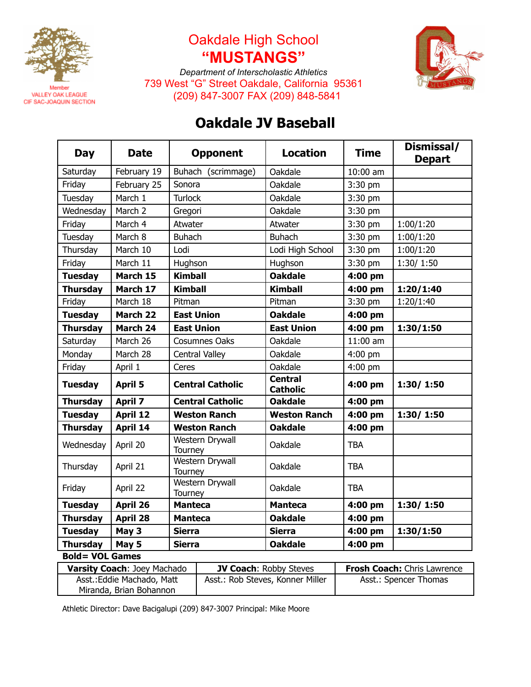

#### Oakdale High School **"MUSTANGS"**



*Department of Interscholastic Athletics* 739 West "G" Street Oakdale, California 95361 [\(209\) 847-3007](https://www.google.com/search?q=oakdale+high+school&rlz=1C1GCEV_enUS972&oq=oakdale+high+&aqs=chrome.0.0i355i433i512j46i175i199i433i512j0i512l8.1993j0j7&sourceid=chrome&ie=UTF-8#) FAX (209) 848-5841

# **Oakdale JV Baseball**

| <b>Day</b>             | <b>Date</b>     | <b>Opponent</b>            | <b>Location</b>                   | <b>Time</b> | Dismissal/<br><b>Depart</b> |
|------------------------|-----------------|----------------------------|-----------------------------------|-------------|-----------------------------|
| Saturday               | February 19     | Buhach (scrimmage)         | Oakdale                           | $10:00$ am  |                             |
| Friday                 | February 25     | Sonora                     | Oakdale                           | 3:30 pm     |                             |
| Tuesday                | March 1         | <b>Turlock</b>             | Oakdale                           | 3:30 pm     |                             |
| Wednesday              | March 2         | Gregori                    | Oakdale                           | $3:30$ pm   |                             |
| Friday                 | March 4         | Atwater                    | Atwater                           | 3:30 pm     | 1:00/1:20                   |
| Tuesday                | March 8         | <b>Buhach</b>              | <b>Buhach</b>                     | 3:30 pm     | 1:00/1:20                   |
| Thursday               | March 10        | Lodi                       | Lodi High School                  | 3:30 pm     | 1:00/1:20                   |
| Friday                 | March 11        | Hughson                    | Hughson                           | 3:30 pm     | 1:30/1:50                   |
| <b>Tuesday</b>         | March 15        | <b>Kimball</b>             | <b>Oakdale</b>                    | 4:00 pm     |                             |
| <b>Thursday</b>        | March 17        | <b>Kimball</b>             | <b>Kimball</b>                    | 4:00 pm     | 1:20/1:40                   |
| Friday                 | March 18        | Pitman                     | Pitman                            | 3:30 pm     | 1:20/1:40                   |
| <b>Tuesday</b>         | March 22        | <b>East Union</b>          | <b>Oakdale</b>                    | 4:00 pm     |                             |
| <b>Thursday</b>        | March 24        | <b>East Union</b>          | <b>East Union</b>                 | 4:00 pm     | 1:30/1:50                   |
| Saturday               | March 26        | <b>Cosumnes Oaks</b>       | Oakdale                           | 11:00 am    |                             |
| Monday                 | March 28        | Central Valley             | Oakdale                           | 4:00 pm     |                             |
| Friday                 | April 1         | Ceres                      | Oakdale                           | 4:00 pm     |                             |
| <b>Tuesday</b>         | <b>April 5</b>  | <b>Central Catholic</b>    | <b>Central</b><br><b>Catholic</b> | 4:00 pm     | 1:30/1:50                   |
| <b>Thursday</b>        | <b>April 7</b>  | <b>Central Catholic</b>    | <b>Oakdale</b>                    | 4:00 pm     |                             |
| <b>Tuesday</b>         | <b>April 12</b> | <b>Weston Ranch</b>        | <b>Weston Ranch</b>               | 4:00 pm     | 1:30/1:50                   |
| <b>Thursday</b>        | April 14        | <b>Weston Ranch</b>        | <b>Oakdale</b>                    | 4:00 pm     |                             |
| Wednesday              | April 20        | Western Drywall<br>Tourney | Oakdale                           | <b>TBA</b>  |                             |
| Thursday               | April 21        | Western Drywall<br>Tourney | Oakdale                           | <b>TBA</b>  |                             |
| Friday                 | April 22        | Western Drywall<br>Tourney | Oakdale                           | <b>TBA</b>  |                             |
| <b>Tuesday</b>         | April 26        | <b>Manteca</b>             | <b>Manteca</b>                    | 4:00 pm     | 1:30/1:50                   |
| <b>Thursday</b>        | <b>April 28</b> | <b>Manteca</b>             | <b>Oakdale</b>                    | 4:00 pm     |                             |
| <b>Tuesday</b>         | May 3           | <b>Sierra</b>              | <b>Sierra</b>                     | 4:00 pm     | 1:30/1:50                   |
| <b>Thursday</b>        | May 5           | <b>Sierra</b>              | <b>Oakdale</b>                    | 4:00 pm     |                             |
| <b>Bold= VOL Games</b> |                 |                            |                                   |             |                             |

**Varsity Coach:** Joey Machado | **JV Coach:** Robby Steves | Frosh Coach: Chris Lawrence Asst.:Eddie Machado, Matt Miranda, Brian Bohannon Asst.: Rob Steves, Konner Miller | Asst.: Spencer Thomas

Athletic Director: Dave Bacigalupi (209) 847-3007 Principal: Mike Moore